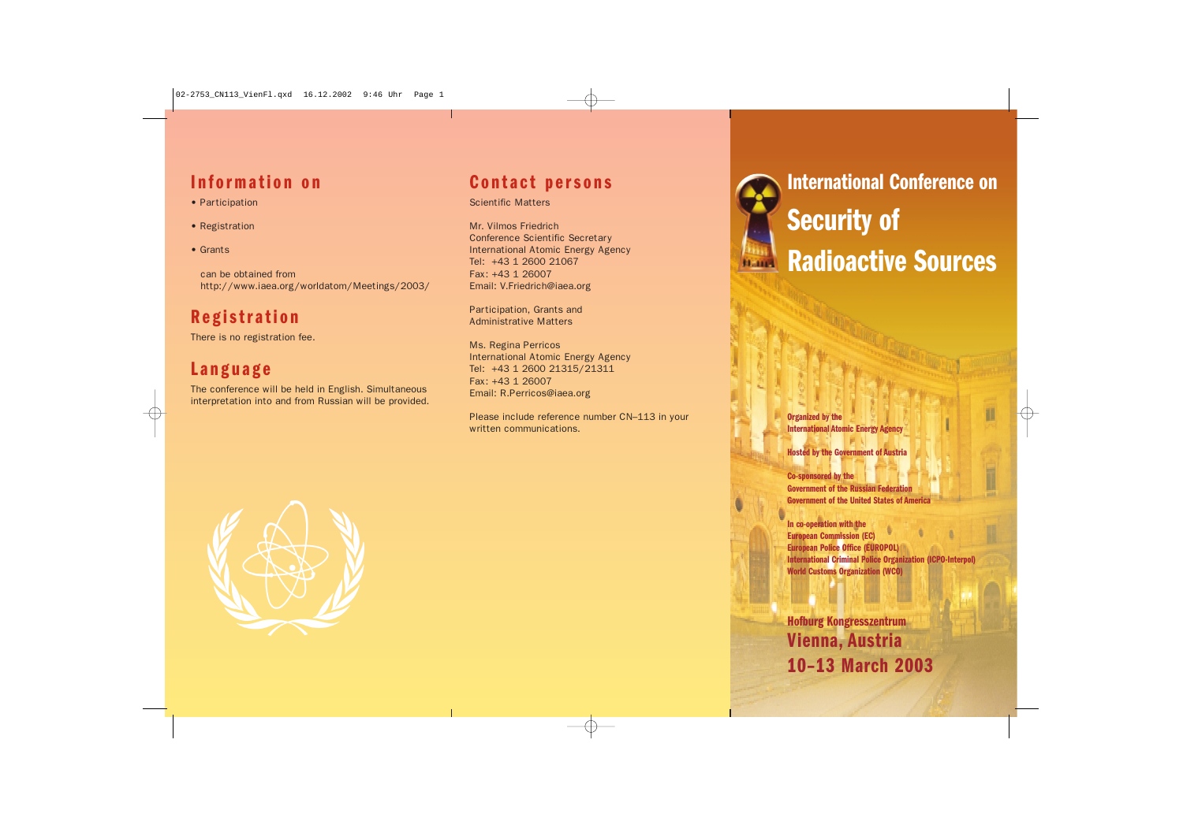## **Information on**

- Participation
- Registration
- Grants

can be obtained from http://www.iaea.org/worldatom/Meetings/2003/

# **Registration**

There is no registration fee.

## **Language**

The conference will be held in English. Simultaneous interpretation into and from Russian will be provided.

#### **Contact persons**

#### Scientific Matters

Mr. Vilmos Friedrich Conference Scientific Secretary International Atomic Energy Agency Tel: +43 1 2600 21067 Fax: +43 1 26007 Email: V.Friedrich@iaea.org

Participation, Grants and Administrative Matters

Ms. Regina Perricos International Atomic Energy Agency Tel: +43 1 2600 21315/21311 Fax: +43 1 26007 Email: R.Perricos@iaea.org

Please include reference number CN–113 in your written communications.



**International Conference on Security of Radioactive Sources**

**Organized by the International Atomic Energy Agency**

**Hosted by the Government of Austria**

**Co-sponsored by the Government of the Russian Federation Government of the United States of America**

**In co-operation with the European Commission (EC) European Police Office (EUROPOL) International Criminal Police Organization (ICPO-Interpol) World Customs Organization (WCO)**

**Hofburg Kongresszentrum Vienna, Austria 10–13 March 2003**